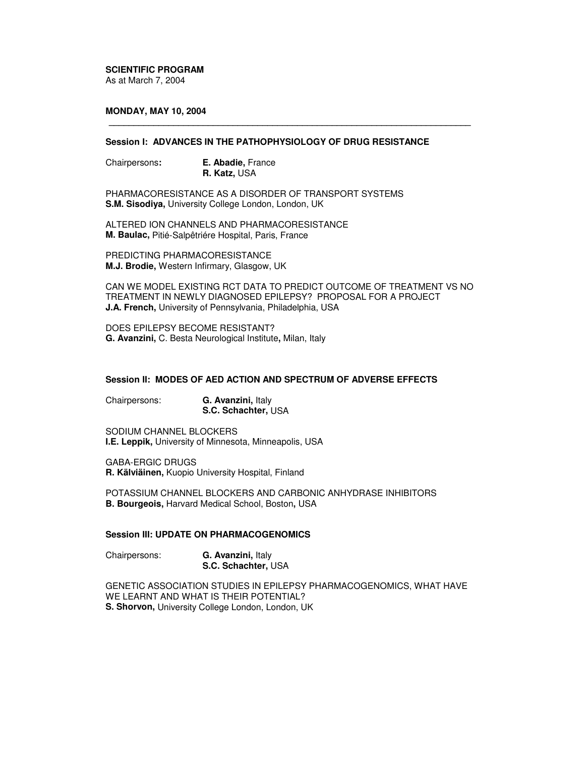**SCIENTIFIC PROGRAM** As at March 7, 2004

## **MONDAY, MAY 10, 2004**

## **Session I: ADVANCES IN THE PATHOPHYSIOLOGY OF DRUG RESISTANCE**

**\_\_\_\_\_\_\_\_\_\_\_\_\_\_\_\_\_\_\_\_\_\_\_\_\_\_\_\_\_\_\_\_\_\_\_\_\_\_\_\_\_\_\_\_\_\_\_\_\_\_\_\_\_\_\_\_\_\_\_\_\_\_\_\_\_\_\_\_\_\_\_\_\_**

Chairpersons**: E. Abadie,** France **R. Katz,** USA

PHARMACORESISTANCE AS A DISORDER OF TRANSPORT SYSTEMS **S.M. Sisodiya,** University College London, London, UK

ALTERED ION CHANNELS AND PHARMACORESISTANCE **M. Baulac,** Pitié-Salpêtriére Hospital, Paris, France

PREDICTING PHARMACORESISTANCE **M.J. Brodie,** Western Infirmary, Glasgow, UK

CAN WE MODEL EXISTING RCT DATA TO PREDICT OUTCOME OF TREATMENT VS NO TREATMENT IN NEWLY DIAGNOSED EPILEPSY? PROPOSAL FOR A PROJECT **J.A. French,** University of Pennsylvania, Philadelphia, USA

DOES EPILEPSY BECOME RESISTANT? **G. Avanzini,** C. Besta Neurological Institute**,** Milan, Italy

## **Session II: MODES OF AED ACTION AND SPECTRUM OF ADVERSE EFFECTS**

Chairpersons: **G. Avanzini,** Italy **S.C. Schachter,** USA

SODIUM CHANNEL BLOCKERS **I.E. Leppik,** University of Minnesota, Minneapolis, USA

GABA-ERGIC DRUGS **R. Kälviäinen,** Kuopio University Hospital, Finland

POTASSIUM CHANNEL BLOCKERS AND CARBONIC ANHYDRASE INHIBITORS **B. Bourgeois,** Harvard Medical School, Boston**,** USA

## **Session III: UPDATE ON PHARMACOGENOMICS**

Chairpersons: **G. Avanzini,** Italy **S.C. Schachter,** USA

GENETIC ASSOCIATION STUDIES IN EPILEPSY PHARMACOGENOMICS, WHAT HAVE WE LEARNT AND WHAT IS THEIR POTENTIAL? **S. Shorvon,** University College London, London, UK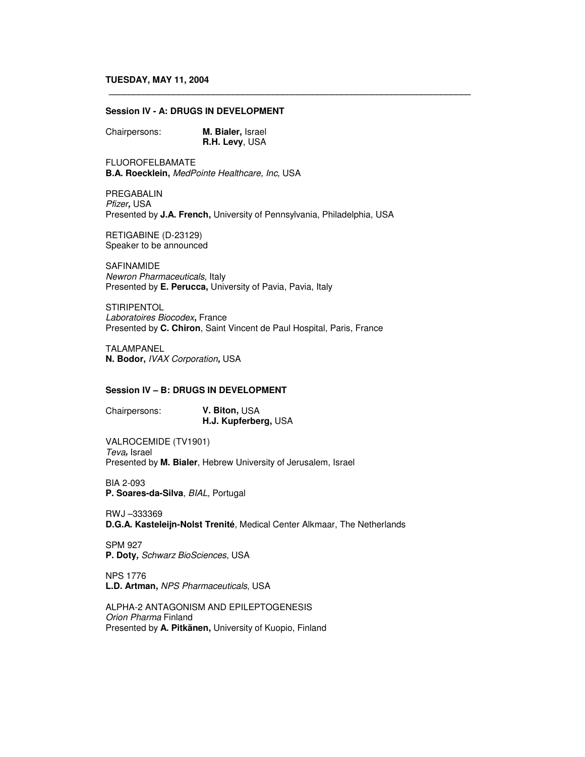### **Session IV - A: DRUGS IN DEVELOPMENT**

Chairpersons: **M. Bialer,** Israel **R.H. Levy**, USA

FLUOROFELBAMATE **B.A. Roecklein,** *MedPointe Healthcare, Inc,* USA

PREGABALIN *Pfizer,* USA Presented by **J.A. French,** University of Pennsylvania, Philadelphia, USA

**\_\_\_\_\_\_\_\_\_\_\_\_\_\_\_\_\_\_\_\_\_\_\_\_\_\_\_\_\_\_\_\_\_\_\_\_\_\_\_\_\_\_\_\_\_\_\_\_\_\_\_\_\_\_\_\_\_\_\_\_\_\_\_\_\_\_\_\_\_\_\_\_\_**

RETIGABINE (D-23129) Speaker to be announced

SAFINAMIDE *Newron Pharmaceuticals,* Italy Presented by **E. Perucca,** University of Pavia, Pavia, Italy

**STIRIPENTOL** *Laboratoires Biocodex***,** France Presented by **C. Chiron**, Saint Vincent de Paul Hospital, Paris, France

TALAMPANEL **N. Bodor,** *IVAX Corporation,* USA

## **Session IV – B: DRUGS IN DEVELOPMENT**

Chairpersons: **V. Biton,** USA **H.J. Kupferberg,** USA

VALROCEMIDE (TV1901) *Teva,* Israel Presented by **M. Bialer**, Hebrew University of Jerusalem, Israel

BIA 2-093 **P. Soares-da-Silva**, *BIAL,* Portugal

RWJ –333369 **D.G.A. Kasteleijn-Nolst Trenité***,* Medical Center Alkmaar, The Netherlands

SPM 927 **P. Doty***, Schwarz BioSciences*, USA

NPS 1776 **L.D. Artman,** *NPS Pharmaceuticals*, USA

ALPHA-2 ANTAGONISM AND EPILEPTOGENESIS *Orion Pharma* Finland Presented by **A. Pitkänen,** University of Kuopio, Finland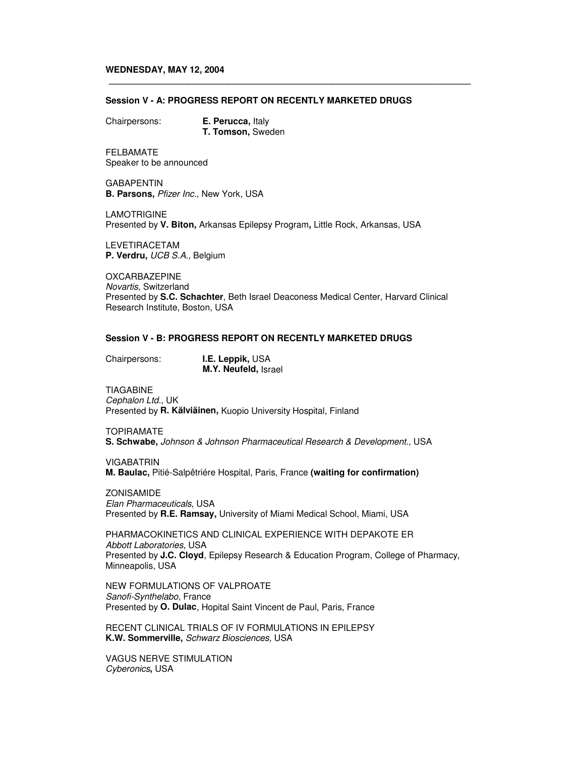#### **WEDNESDAY, MAY 12, 2004**

#### **Session V - A: PROGRESS REPORT ON RECENTLY MARKETED DRUGS**

**\_\_\_\_\_\_\_\_\_\_\_\_\_\_\_\_\_\_\_\_\_\_\_\_\_\_\_\_\_\_\_\_\_\_\_\_\_\_\_\_\_\_\_\_\_\_\_\_\_\_\_\_\_\_\_\_\_\_\_\_\_\_\_\_\_\_\_\_\_\_\_\_\_**

Chairpersons: **E. Perucca,** Italy **T. Tomson,** Sweden

FELBAMATE Speaker to be announced

**GABAPENTIN B. Parsons,** *Pfizer Inc.,* New York, USA

LAMOTRIGINE Presented by **V. Biton,** Arkansas Epilepsy Program**,** Little Rock, Arkansas, USA

LEVETIRACETAM **P. Verdru,** *UCB S.A.,* Belgium

OXCARBAZEPINE *Novartis*, Switzerland Presented by **S.C. Schachter**, Beth Israel Deaconess Medical Center, Harvard Clinical Research Institute, Boston, USA

### **Session V - B: PROGRESS REPORT ON RECENTLY MARKETED DRUGS**

Chairpersons: **I.E. Leppik,** USA **M.Y. Neufeld,** Israel

TIAGABINE *Cephalon Ltd.,* UK Presented by **R. Kälviäinen,** Kuopio University Hospital, Finland

TOPIRAMATE **S. Schwabe,** *Johnson & Johnson Pharmaceutical Research & Development.,* USA

VIGABATRIN **M. Baulac,** Pitié-Salpêtriére Hospital, Paris, France **(waiting for confirmation)**

ZONISAMIDE *Elan Pharmaceuticals*, USA Presented by **R.E. Ramsay,** University of Miami Medical School, Miami, USA

PHARMACOKINETICS AND CLINICAL EXPERIENCE WITH DEPAKOTE ER *Abbott Laboratories*, USA Presented by **J.C. Cloyd**, Epilepsy Research & Education Program, College of Pharmacy, Minneapolis, USA

NEW FORMULATIONS OF VALPROATE *Sanofi-Synthelabo,* France Presented by **O. Dulac**, Hopital Saint Vincent de Paul, Paris, France

RECENT CLINICAL TRIALS OF IV FORMULATIONS IN EPILEPSY **K.W. Sommerville,** *Schwarz Biosciences,* USA

VAGUS NERVE STIMULATION *Cyberonics***,** USA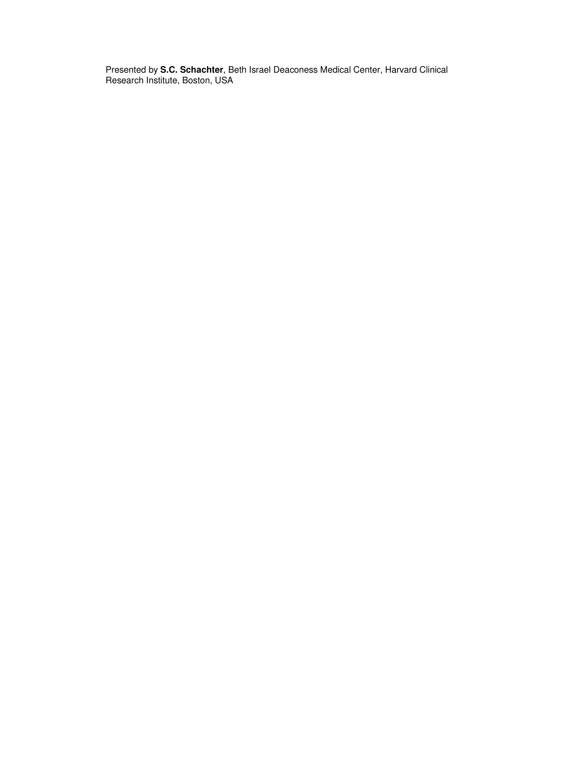Presented by **S.C. Schachter**, Beth Israel Deaconess Medical Center, Harvard Clinical Research Institute, Boston, USA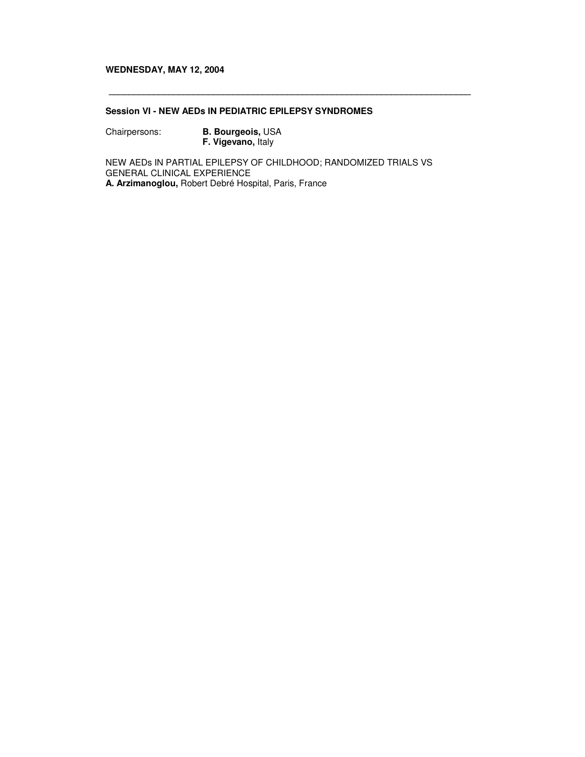## **WEDNESDAY, MAY 12, 2004**

# **Session VI - NEW AEDs IN PEDIATRIC EPILEPSY SYNDROMES**

Chairpersons: **B. Bourgeois,** USA **F. Vigevano,** Italy

NEW AEDs IN PARTIAL EPILEPSY OF CHILDHOOD; RANDOMIZED TRIALS VS GENERAL CLINICAL EXPERIENCE **A. Arzimanoglou,** Robert Debré Hospital, Paris, France

**\_\_\_\_\_\_\_\_\_\_\_\_\_\_\_\_\_\_\_\_\_\_\_\_\_\_\_\_\_\_\_\_\_\_\_\_\_\_\_\_\_\_\_\_\_\_\_\_\_\_\_\_\_\_\_\_\_\_\_\_\_\_\_\_\_\_\_\_\_\_\_\_\_**